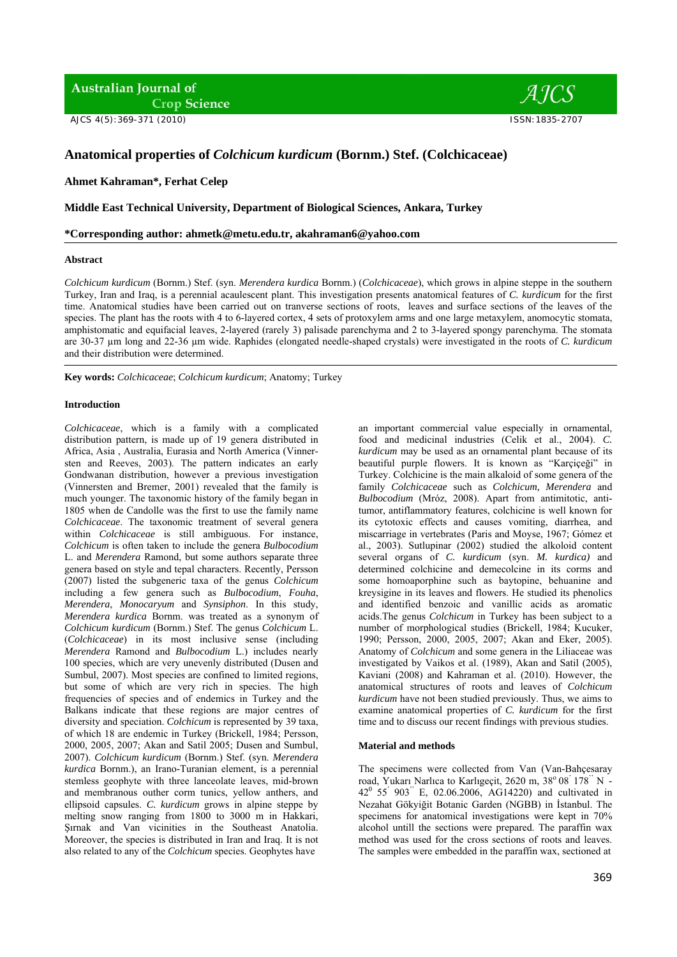**Australian Journal of Crop Science** 

AJCS 4(5):369-371 (2010) ISSN:1835-2707



# **Anatomical properties of** *Colchicum kurdicum* **(Bornm.) Stef. (Colchicaceae)**

**Ahmet Kahraman\*, Ferhat Celep**

**Middle East Technical University, Department of Biological Sciences, Ankara, Turkey** 

**\*Corresponding author: ahmetk@metu.edu.tr, akahraman6@yahoo.com** 

#### **Abstract**

*Colchicum kurdicum* (Bornm.) Stef. (syn. *Merendera kurdica* Bornm.) (*Colchicaceae*), which grows in alpine steppe in the southern Turkey, Iran and Iraq, is a perennial acaulescent plant. This investigation presents anatomical features of *C. kurdicum* for the first time. Anatomical studies have been carried out on tranverse sections of roots, leaves and surface sections of the leaves of the species. The plant has the roots with 4 to 6-layered cortex, 4 sets of protoxylem arms and one large metaxylem, anomocytic stomata, amphistomatic and equifacial leaves, 2-layered (rarely 3) palisade parenchyma and 2 to 3-layered spongy parenchyma. The stomata are 30-37 µm long and 22-36 µm wide. Raphides (elongated needle-shaped crystals) were investigated in the roots of *C. kurdicum* and their distribution were determined.

**Key words:** *Colchicaceae*; *Colchicum kurdicum*; Anatomy; Turkey

## **Introduction**

*Colchicaceae*, which is a family with a complicated distribution pattern, is made up of 19 genera distributed in Africa, Asia , Australia, Eurasia and North America (Vinnersten and Reeves, 2003). The pattern indicates an early Gondwanan distribution, however a previous investigation (Vinnersten and Bremer, 2001) revealed that the family is much younger. The taxonomic history of the family began in 1805 when de Candolle was the first to use the family name *Colchicaceae*. The taxonomic treatment of several genera within *Colchicaceae* is still ambiguous. For instance, *Colchicum* is often taken to include the genera *Bulbocodium* L. and *Merendera* Ramond, but some authors separate three genera based on style and tepal characters. Recently, Persson (2007) listed the subgeneric taxa of the genus *Colchicum*  including a few genera such as *Bulbocodium*, *Fouha*, *Merendera*, *Monocaryum* and *Synsiphon*. In this study, *Merendera kurdica* Bornm. was treated as a synonym of *Colchicum kurdicum* (Bornm.) Stef. The genus *Colchicum* L. (*Colchicaceae*) in its most inclusive sense (including *Merendera* Ramond and *Bulbocodium* L.) includes nearly 100 species, which are very unevenly distributed (Dusen and Sumbul, 2007). Most species are confined to limited regions, but some of which are very rich in species. The high frequencies of species and of endemics in Turkey and the Balkans indicate that these regions are major centres of diversity and speciation. *Colchicum* is represented by 39 taxa, of which 18 are endemic in Turkey (Brickell, 1984; Persson, 2000, 2005, 2007; Akan and Satil 2005; Dusen and Sumbul, 2007). *Colchicum kurdicum* (Bornm.) Stef. (syn. *Merendera kurdica* Bornm.), an Irano-Turanian element, is a perennial stemless geophyte with three lanceolate leaves, mid-brown and membranous outher corm tunics, yellow anthers, and ellipsoid capsules. *C. kurdicum* grows in alpine steppe by melting snow ranging from 1800 to 3000 m in Hakkari, Şırnak and Van vicinities in the Southeast Anatolia. Moreover, the species is distributed in Iran and Iraq. It is not also related to any of the *Colchicum* species. Geophytes have

an important commercial value especially in ornamental, food and medicinal industries (Celik et al., 2004). *C. kurdicum* may be used as an ornamental plant because of its beautiful purple flowers. It is known as "Karçiçeği" in Turkey. Colchicine is the main alkaloid of some genera of the family *Colchicaceae* such as *Colchicum, Merendera* and *Bulbocodium* (Mróz, 2008). Apart from antimitotic, antitumor, antiflammatory features, colchicine is well known for its cytotoxic effects and causes vomiting, diarrhea, and miscarriage in vertebrates (Paris and Moyse, 1967; Gómez et al., 2003). Sutlupinar (2002) studied the alkoloid content several organs of *C. kurdicum* (syn. *M. kurdica)* and determined colchicine and demecolcine in its corms and some homoaporphine such as baytopine, behuanine and kreysigine in its leaves and flowers. He studied its phenolics and identified benzoic and vanillic acids as aromatic acids.The genus *Colchicum* in Turkey has been subject to a number of morphological studies (Brickell, 1984; Kucuker, 1990; Persson, 2000, 2005, 2007; Akan and Eker, 2005). Anatomy of *Colchicum* and some genera in the Liliaceae was investigated by Vaikos et al. (1989), Akan and Satil (2005), Kaviani (2008) and Kahraman et al. (2010). However, the anatomical structures of roots and leaves of *Colchicum kurdicum* have not been studied previously. Thus, we aims to examine anatomical properties of *C. kurdicum* for the first time and to discuss our recent findings with previous studies.

#### **Material and methods**

The specimens were collected from Van (Van-Bahçesaray road, Yukarı Narlıca to Karlıgeçit, 2620 m, 38° 08<sup>'</sup> 178<sup>"</sup> N - $42^{\circ}$  55' 903" E, 02.06.2006, AG14220) and cultivated in Nezahat Gökyiğit Botanic Garden (NGBB) in İstanbul. The specimens for anatomical investigations were kept in 70% alcohol untill the sections were prepared. The paraffin wax method was used for the cross sections of roots and leaves. The samples were embedded in the paraffin wax, sectioned at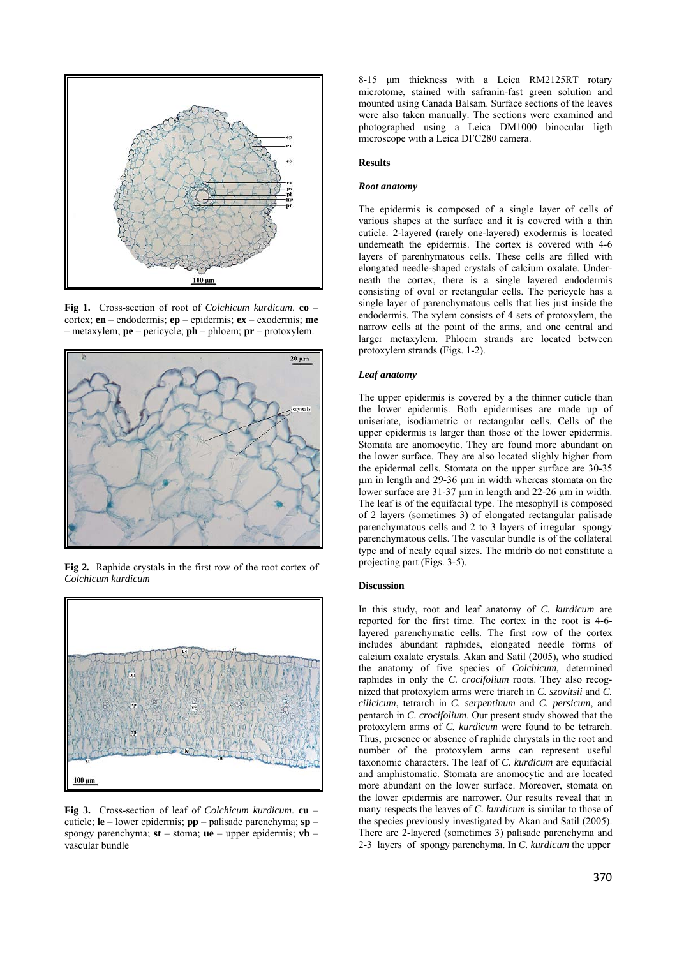

**Fig 1.** Cross-section of root of *Colchicum kurdicum*. **co** – cortex; **en** – endodermis; **ep** – epidermis; **ex** – exodermis; **me** – metaxylem; **pe** – pericycle; **ph** – phloem; **pr** – protoxylem.



**Fig 2***.* Raphide crystals in the first row of the root cortex of *Colchicum kurdicum* 



**Fig 3.** Cross-section of leaf of *Colchicum kurdicum*. **cu** – cuticle; **le** – lower epidermis; **pp** – palisade parenchyma; **sp** – spongy parenchyma; **st** – stoma; **ue** – upper epidermis; **vb** – vascular bundle

8-15 μm thickness with a Leica RM2125RT rotary microtome, stained with safranin-fast green solution and mounted using Canada Balsam. Surface sections of the leaves were also taken manually. The sections were examined and photographed using a Leica DM1000 binocular ligth microscope with a Leica DFC280 camera.

#### **Results**

## *Root anatomy*

The epidermis is composed of a single layer of cells of various shapes at the surface and it is covered with a thin cuticle. 2-layered (rarely one-layered) exodermis is located underneath the epidermis. The cortex is covered with 4-6 layers of parenhymatous cells. These cells are filled with elongated needle-shaped crystals of calcium oxalate. Underneath the cortex, there is a single layered endodermis consisting of oval or rectangular cells. The pericycle has a single layer of parenchymatous cells that lies just inside the endodermis. The xylem consists of 4 sets of protoxylem, the narrow cells at the point of the arms, and one central and larger metaxylem. Phloem strands are located between protoxylem strands (Figs. 1-2).

### *Leaf anatomy*

The upper epidermis is covered by a the thinner cuticle than the lower epidermis. Both epidermises are made up of uniseriate, isodiametric or rectangular cells. Cells of the upper epidermis is larger than those of the lower epidermis. Stomata are anomocytic. They are found more abundant on the lower surface. They are also located slighly higher from the epidermal cells. Stomata on the upper surface are 30-35 µm in length and 29-36 µm in width whereas stomata on the lower surface are 31-37 µm in length and 22-26 µm in width. The leaf is of the equifacial type. The mesophyll is composed of 2 layers (sometimes 3) of elongated rectangular palisade parenchymatous cells and 2 to 3 layers of irregular spongy parenchymatous cells. The vascular bundle is of the collateral type and of nealy equal sizes. The midrib do not constitute a projecting part (Figs. 3-5).

#### **Discussion**

In this study, root and leaf anatomy of *C. kurdicum* are reported for the first time. The cortex in the root is 4-6 layered parenchymatic cells. The first row of the cortex includes abundant raphides, elongated needle forms of calcium oxalate crystals. Akan and Satil (2005), who studied the anatomy of five species of *Colchicum*, determined raphides in only the *C. crocifolium* roots. They also recognized that protoxylem arms were triarch in *C. szovitsii* and *C. cilicicum*, tetrarch in *C. serpentinum* and *C. persicum*, and pentarch in *C. crocifolium*. Our present study showed that the protoxylem arms of *C. kurdicum* were found to be tetrarch. Thus, presence or absence of raphide chrystals in the root and number of the protoxylem arms can represent useful taxonomic characters. The leaf of *C. kurdicum* are equifacial and amphistomatic. Stomata are anomocytic and are located more abundant on the lower surface. Moreover, stomata on the lower epidermis are narrower. Our results reveal that in many respects the leaves of *C. kurdicum* is similar to those of the species previously investigated by Akan and Satil (2005). There are 2-layered (sometimes 3) palisade parenchyma and 2-3 layers of spongy parenchyma. In *C. kurdicum* the upper